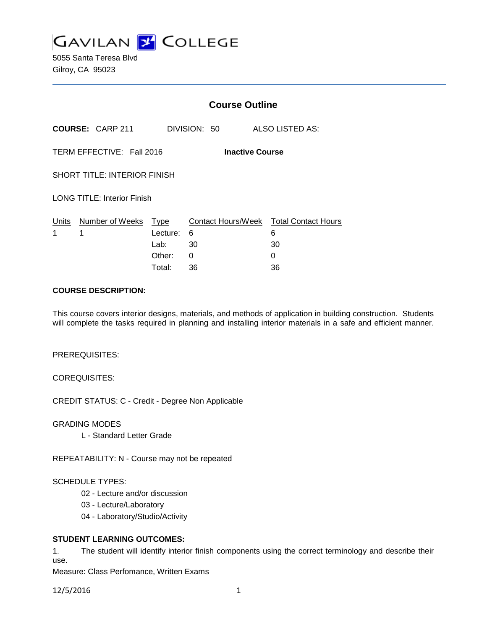

5055 Santa Teresa Blvd Gilroy, CA 95023

|                                                     |                         | <b>Course Outline</b> |              |  |                                        |
|-----------------------------------------------------|-------------------------|-----------------------|--------------|--|----------------------------------------|
|                                                     | <b>COURSE: CARP 211</b> |                       | DIVISION: 50 |  | ALSO LISTED AS:                        |
| TERM EFFECTIVE: Fall 2016<br><b>Inactive Course</b> |                         |                       |              |  |                                        |
| <b>SHORT TITLE: INTERIOR FINISH</b>                 |                         |                       |              |  |                                        |
| <b>LONG TITLE: Interior Finish</b>                  |                         |                       |              |  |                                        |
| Units                                               | Number of Weeks         | <u>Type</u>           |              |  | Contact Hours/Week Total Contact Hours |
| 1                                                   | 1                       | Lecture:              | 6            |  | 6                                      |
|                                                     |                         | Lab:                  | 30           |  | 30                                     |
|                                                     |                         | Other:                | 0            |  | 0                                      |
|                                                     |                         | Total:                | 36           |  | 36                                     |

## **COURSE DESCRIPTION:**

This course covers interior designs, materials, and methods of application in building construction. Students will complete the tasks required in planning and installing interior materials in a safe and efficient manner.

### PREREQUISITES:

COREQUISITES:

CREDIT STATUS: C - Credit - Degree Non Applicable

GRADING MODES

L - Standard Letter Grade

REPEATABILITY: N - Course may not be repeated

### SCHEDULE TYPES:

- 02 Lecture and/or discussion
- 03 Lecture/Laboratory
- 04 Laboratory/Studio/Activity

### **STUDENT LEARNING OUTCOMES:**

1. The student will identify interior finish components using the correct terminology and describe their use.

Measure: Class Perfomance, Written Exams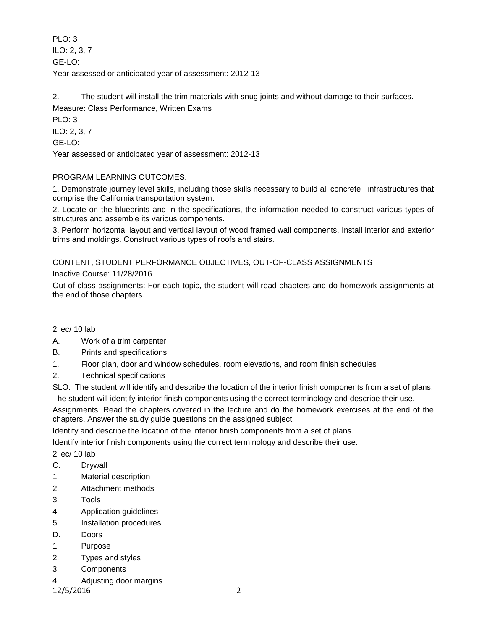PLO: 3 ILO: 2, 3, 7 GE-LO: Year assessed or anticipated year of assessment: 2012-13

2. The student will install the trim materials with snug joints and without damage to their surfaces. Measure: Class Performance, Written Exams

PLO: 3 ILO: 2, 3, 7

GE-LO:

Year assessed or anticipated year of assessment: 2012-13

# PROGRAM LEARNING OUTCOMES:

1. Demonstrate journey level skills, including those skills necessary to build all concrete infrastructures that comprise the California transportation system.

2. Locate on the blueprints and in the specifications, the information needed to construct various types of structures and assemble its various components.

3. Perform horizontal layout and vertical layout of wood framed wall components. Install interior and exterior trims and moldings. Construct various types of roofs and stairs.

CONTENT, STUDENT PERFORMANCE OBJECTIVES, OUT-OF-CLASS ASSIGNMENTS

Inactive Course: 11/28/2016

Out-of class assignments: For each topic, the student will read chapters and do homework assignments at the end of those chapters.

2 lec/ 10 lab

- A. Work of a trim carpenter
- B. Prints and specifications
- 1. Floor plan, door and window schedules, room elevations, and room finish schedules
- 2. Technical specifications

SLO: The student will identify and describe the location of the interior finish components from a set of plans.

The student will identify interior finish components using the correct terminology and describe their use.

Assignments: Read the chapters covered in the lecture and do the homework exercises at the end of the chapters. Answer the study guide questions on the assigned subject.

Identify and describe the location of the interior finish components from a set of plans.

Identify interior finish components using the correct terminology and describe their use.

2 lec/ 10 lab

- C. Drywall
- 1. Material description
- 2. Attachment methods
- 3. Tools
- 4. Application guidelines
- 5. Installation procedures
- D. Doors
- 1. Purpose
- 2. Types and styles
- 3. Components
- 4. Adjusting door margins

12/5/2016 2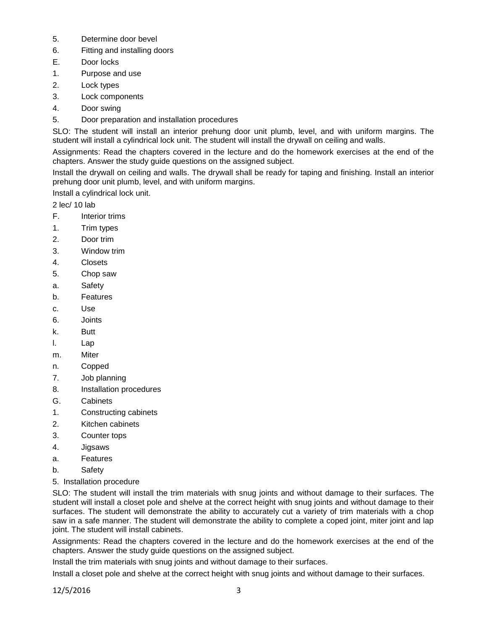- 5. Determine door bevel
- 6. Fitting and installing doors
- E. Door locks
- 1. Purpose and use
- 2. Lock types
- 3. Lock components
- 4. Door swing
- 5. Door preparation and installation procedures

SLO: The student will install an interior prehung door unit plumb, level, and with uniform margins. The student will install a cylindrical lock unit. The student will install the drywall on ceiling and walls.

Assignments: Read the chapters covered in the lecture and do the homework exercises at the end of the chapters. Answer the study guide questions on the assigned subject.

Install the drywall on ceiling and walls. The drywall shall be ready for taping and finishing. Install an interior prehung door unit plumb, level, and with uniform margins.

Install a cylindrical lock unit.

2 lec/ 10 lab

- F. Interior trims
- 1. Trim types
- 2. Door trim
- 3. Window trim
- 4. Closets
- 5. Chop saw
- a. Safety
- b. Features
- c. Use
- 6. Joints
- k. Butt
- l. Lap
- m. Miter
- n. Copped
- 7. Job planning
- 8. Installation procedures
- G. Cabinets
- 1. Constructing cabinets
- 2. Kitchen cabinets
- 3. Counter tops
- 4. Jigsaws
- a. Features
- b. Safety
- 5. Installation procedure

SLO: The student will install the trim materials with snug joints and without damage to their surfaces. The student will install a closet pole and shelve at the correct height with snug joints and without damage to their surfaces. The student will demonstrate the ability to accurately cut a variety of trim materials with a chop saw in a safe manner. The student will demonstrate the ability to complete a coped joint, miter joint and lap joint. The student will install cabinets.

Assignments: Read the chapters covered in the lecture and do the homework exercises at the end of the chapters. Answer the study guide questions on the assigned subject.

Install the trim materials with snug joints and without damage to their surfaces.

Install a closet pole and shelve at the correct height with snug joints and without damage to their surfaces.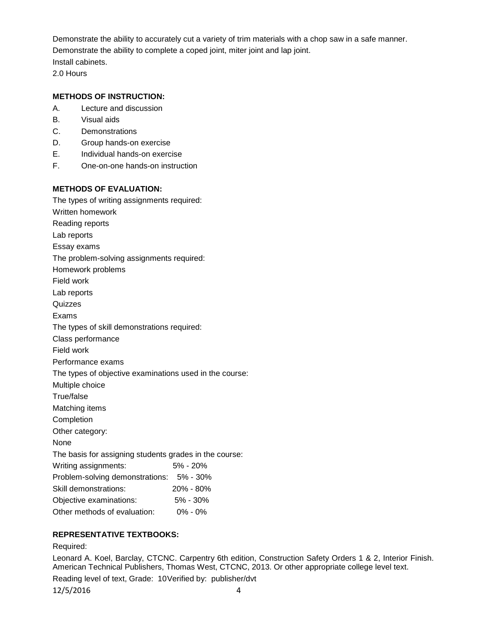Demonstrate the ability to accurately cut a variety of trim materials with a chop saw in a safe manner. Demonstrate the ability to complete a coped joint, miter joint and lap joint. Install cabinets.

2.0 Hours

# **METHODS OF INSTRUCTION:**

- A. Lecture and discussion
- B. Visual aids
- C. Demonstrations
- D. Group hands-on exercise
- E. Individual hands-on exercise
- F. One-on-one hands-on instruction

## **METHODS OF EVALUATION:**

The types of writing assignments required: Written homework Reading reports Lab reports Essay exams The problem-solving assignments required: Homework problems Field work Lab reports **Quizzes** Exams The types of skill demonstrations required: Class performance Field work Performance exams The types of objective examinations used in the course: Multiple choice True/false Matching items Completion Other category: None The basis for assigning students grades in the course: Writing assignments: 5% - 20% Problem-solving demonstrations: 5% - 30% Skill demonstrations: 20% - 80% Objective examinations: 5% - 30% Other methods of evaluation: 0% - 0%

# **REPRESENTATIVE TEXTBOOKS:**

#### Required:

Leonard A. Koel, Barclay, CTCNC. Carpentry 6th edition, Construction Safety Orders 1 & 2, Interior Finish. American Technical Publishers, Thomas West, CTCNC, 2013. Or other appropriate college level text.

Reading level of text, Grade: 10Verified by: publisher/dvt

12/5/2016 4